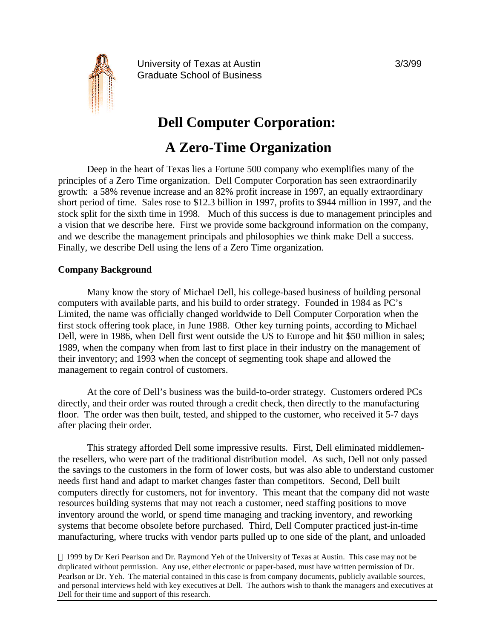

University of Texas at Austin 3/3/99 Graduate School of Business

# **Dell Computer Corporation:**

## **A Zero-Time Organization**

Deep in the heart of Texas lies a Fortune 500 company who exemplifies many of the principles of a Zero Time organization. Dell Computer Corporation has seen extraordinarily growth: a 58% revenue increase and an 82% profit increase in 1997, an equally extraordinary short period of time. Sales rose to \$12.3 billion in 1997, profits to \$944 million in 1997, and the stock split for the sixth time in 1998. Much of this success is due to management principles and a vision that we describe here. First we provide some background information on the company, and we describe the management principals and philosophies we think make Dell a success. Finally, we describe Dell using the lens of a Zero Time organization.

#### **Company Background**

Many know the story of Michael Dell, his college-based business of building personal computers with available parts, and his build to order strategy. Founded in 1984 as PC's Limited, the name was officially changed worldwide to Dell Computer Corporation when the first stock offering took place, in June 1988. Other key turning points, according to Michael Dell, were in 1986, when Dell first went outside the US to Europe and hit \$50 million in sales; 1989, when the company when from last to first place in their industry on the management of their inventory; and 1993 when the concept of segmenting took shape and allowed the management to regain control of customers.

At the core of Dell's business was the build-to-order strategy. Customers ordered PCs directly, and their order was routed through a credit check, then directly to the manufacturing floor. The order was then built, tested, and shipped to the customer, who received it 5-7 days after placing their order.

This strategy afforded Dell some impressive results. First, Dell eliminated middlementhe resellers, who were part of the traditional distribution model. As such, Dell not only passed the savings to the customers in the form of lower costs, but was also able to understand customer needs first hand and adapt to market changes faster than competitors. Second, Dell built computers directly for customers, not for inventory. This meant that the company did not waste resources building systems that may not reach a customer, need staffing positions to move inventory around the world, or spend time managing and tracking inventory, and reworking systems that become obsolete before purchased. Third, Dell Computer practiced just-in-time manufacturing, where trucks with vendor parts pulled up to one side of the plant, and unloaded

 1999 by Dr Keri Pearlson and Dr. Raymond Yeh of the University of Texas at Austin. This case may not be duplicated without permission. Any use, either electronic or paper-based, must have written permission of Dr. Pearlson or Dr. Yeh. The material contained in this case is from company documents, publicly available sources, and personal interviews held with key executives at Dell. The authors wish to thank the managers and executives at Dell for their time and support of this research.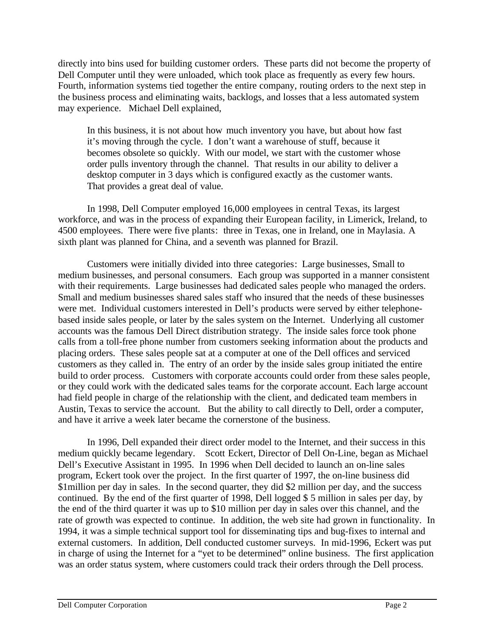directly into bins used for building customer orders. These parts did not become the property of Dell Computer until they were unloaded, which took place as frequently as every few hours. Fourth, information systems tied together the entire company, routing orders to the next step in the business process and eliminating waits, backlogs, and losses that a less automated system may experience. Michael Dell explained,

In this business, it is not about how much inventory you have, but about how fast it's moving through the cycle. I don't want a warehouse of stuff, because it becomes obsolete so quickly. With our model, we start with the customer whose order pulls inventory through the channel. That results in our ability to deliver a desktop computer in 3 days which is configured exactly as the customer wants. That provides a great deal of value.

In 1998, Dell Computer employed 16,000 employees in central Texas, its largest workforce, and was in the process of expanding their European facility, in Limerick, Ireland, to 4500 employees. There were five plants: three in Texas, one in Ireland, one in Maylasia. A sixth plant was planned for China, and a seventh was planned for Brazil.

Customers were initially divided into three categories: Large businesses, Small to medium businesses, and personal consumers. Each group was supported in a manner consistent with their requirements. Large businesses had dedicated sales people who managed the orders. Small and medium businesses shared sales staff who insured that the needs of these businesses were met. Individual customers interested in Dell's products were served by either telephonebased inside sales people, or later by the sales system on the Internet. Underlying all customer accounts was the famous Dell Direct distribution strategy. The inside sales force took phone calls from a toll-free phone number from customers seeking information about the products and placing orders. These sales people sat at a computer at one of the Dell offices and serviced customers as they called in. The entry of an order by the inside sales group initiated the entire build to order process. Customers with corporate accounts could order from these sales people, or they could work with the dedicated sales teams for the corporate account. Each large account had field people in charge of the relationship with the client, and dedicated team members in Austin, Texas to service the account. But the ability to call directly to Dell, order a computer, and have it arrive a week later became the cornerstone of the business.

In 1996, Dell expanded their direct order model to the Internet, and their success in this medium quickly became legendary. Scott Eckert, Director of Dell On-Line, began as Michael Dell's Executive Assistant in 1995. In 1996 when Dell decided to launch an on-line sales program, Eckert took over the project. In the first quarter of 1997, the on-line business did \$1 million per day in sales. In the second quarter, they did \$2 million per day, and the success continued. By the end of the first quarter of 1998, Dell logged \$ 5 million in sales per day, by the end of the third quarter it was up to \$10 million per day in sales over this channel, and the rate of growth was expected to continue. In addition, the web site had grown in functionality. In 1994, it was a simple technical support tool for disseminating tips and bug-fixes to internal and external customers. In addition, Dell conducted customer surveys. In mid-1996, Eckert was put in charge of using the Internet for a "yet to be determined" online business. The first application was an order status system, where customers could track their orders through the Dell process.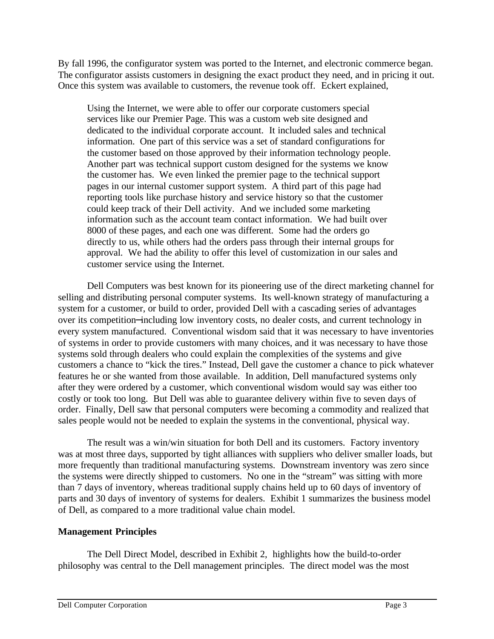By fall 1996, the configurator system was ported to the Internet, and electronic commerce began. The configurator assists customers in designing the exact product they need, and in pricing it out. Once this system was available to customers, the revenue took off. Eckert explained,

Using the Internet, we were able to offer our corporate customers special services like our Premier Page. This was a custom web site designed and dedicated to the individual corporate account. It included sales and technical information. One part of this service was a set of standard configurations for the customer based on those approved by their information technology people. Another part was technical support custom designed for the systems we know the customer has. We even linked the premier page to the technical support pages in our internal customer support system. A third part of this page had reporting tools like purchase history and service history so that the customer could keep track of their Dell activity. And we included some marketing information such as the account team contact information. We had built over 8000 of these pages, and each one was different. Some had the orders go directly to us, while others had the orders pass through their internal groups for approval. We had the ability to offer this level of customization in our sales and customer service using the Internet.

Dell Computers was best known for its pioneering use of the direct marketing channel for selling and distributing personal computer systems. Its well-known strategy of manufacturing a system for a customer, or build to order, provided Dell with a cascading series of advantages over its competition−including low inventory costs, no dealer costs, and current technology in every system manufactured. Conventional wisdom said that it was necessary to have inventories of systems in order to provide customers with many choices, and it was necessary to have those systems sold through dealers who could explain the complexities of the systems and give customers a chance to "kick the tires." Instead, Dell gave the customer a chance to pick whatever features he or she wanted from those available. In addition, Dell manufactured systems only after they were ordered by a customer, which conventional wisdom would say was either too costly or took too long. But Dell was able to guarantee delivery within five to seven days of order. Finally, Dell saw that personal computers were becoming a commodity and realized that sales people would not be needed to explain the systems in the conventional, physical way.

The result was a win/win situation for both Dell and its customers. Factory inventory was at most three days, supported by tight alliances with suppliers who deliver smaller loads, but more frequently than traditional manufacturing systems. Downstream inventory was zero since the systems were directly shipped to customers. No one in the "stream" was sitting with more than 7 days of inventory, whereas traditional supply chains held up to 60 days of inventory of parts and 30 days of inventory of systems for dealers. Exhibit 1 summarizes the business model of Dell, as compared to a more traditional value chain model.

#### **Management Principles**

The Dell Direct Model, described in Exhibit 2, highlights how the build-to-order philosophy was central to the Dell management principles. The direct model was the most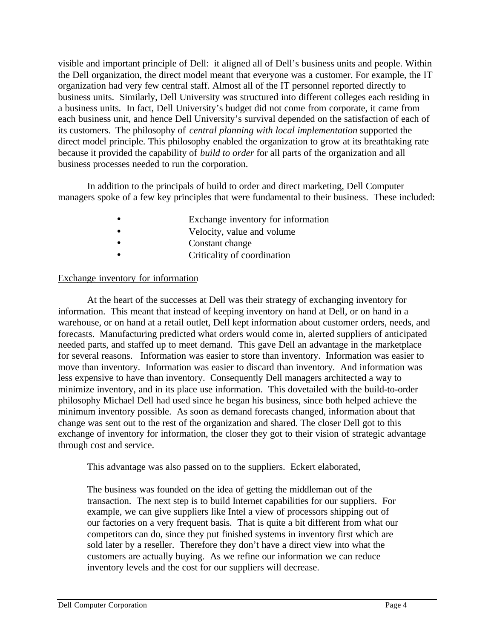visible and important principle of Dell: it aligned all of Dell's business units and people. Within the Dell organization, the direct model meant that everyone was a customer. For example, the IT organization had very few central staff. Almost all of the IT personnel reported directly to business units. Similarly, Dell University was structured into different colleges each residing in a business units. In fact, Dell University's budget did not come from corporate, it came from each business unit, and hence Dell University's survival depended on the satisfaction of each of its customers. The philosophy of *central planning with local implementation* supported the direct model principle. This philosophy enabled the organization to grow at its breathtaking rate because it provided the capability of *build to order* for all parts of the organization and all business processes needed to run the corporation.

In addition to the principals of build to order and direct marketing, Dell Computer managers spoke of a few key principles that were fundamental to their business. These included:

- Exchange inventory for information
- Velocity, value and volume
- Constant change
- Criticality of coordination

#### Exchange inventory for information

At the heart of the successes at Dell was their strategy of exchanging inventory for information. This meant that instead of keeping inventory on hand at Dell, or on hand in a warehouse, or on hand at a retail outlet, Dell kept information about customer orders, needs, and forecasts. Manufacturing predicted what orders would come in, alerted suppliers of anticipated needed parts, and staffed up to meet demand. This gave Dell an advantage in the marketplace for several reasons. Information was easier to store than inventory. Information was easier to move than inventory. Information was easier to discard than inventory. And information was less expensive to have than inventory. Consequently Dell managers architected a way to minimize inventory, and in its place use information. This dovetailed with the build-to-order philosophy Michael Dell had used since he began his business, since both helped achieve the minimum inventory possible. As soon as demand forecasts changed, information about that change was sent out to the rest of the organization and shared. The closer Dell got to this exchange of inventory for information, the closer they got to their vision of strategic advantage through cost and service.

This advantage was also passed on to the suppliers. Eckert elaborated,

The business was founded on the idea of getting the middleman out of the transaction. The next step is to build Internet capabilities for our suppliers. For example, we can give suppliers like Intel a view of processors shipping out of our factories on a very frequent basis. That is quite a bit different from what our competitors can do, since they put finished systems in inventory first which are sold later by a reseller. Therefore they don't have a direct view into what the customers are actually buying. As we refine our information we can reduce inventory levels and the cost for our suppliers will decrease.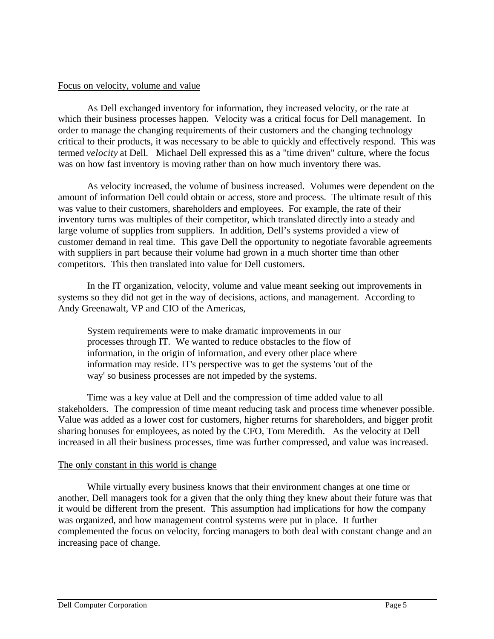#### Focus on velocity, volume and value

As Dell exchanged inventory for information, they increased velocity, or the rate at which their business processes happen. Velocity was a critical focus for Dell management. In order to manage the changing requirements of their customers and the changing technology critical to their products, it was necessary to be able to quickly and effectively respond. This was termed *velocity* at Dell. Michael Dell expressed this as a "time driven" culture, where the focus was on how fast inventory is moving rather than on how much inventory there was.

As velocity increased, the volume of business increased. Volumes were dependent on the amount of information Dell could obtain or access, store and process. The ultimate result of this was value to their customers, shareholders and employees. For example, the rate of their inventory turns was multiples of their competitor, which translated directly into a steady and large volume of supplies from suppliers. In addition, Dell's systems provided a view of customer demand in real time. This gave Dell the opportunity to negotiate favorable agreements with suppliers in part because their volume had grown in a much shorter time than other competitors. This then translated into value for Dell customers.

In the IT organization, velocity, volume and value meant seeking out improvements in systems so they did not get in the way of decisions, actions, and management. According to Andy Greenawalt, VP and CIO of the Americas,

System requirements were to make dramatic improvements in our processes through IT. We wanted to reduce obstacles to the flow of information, in the origin of information, and every other place where information may reside. IT's perspective was to get the systems 'out of the way' so business processes are not impeded by the systems.

Time was a key value at Dell and the compression of time added value to all stakeholders. The compression of time meant reducing task and process time whenever possible. Value was added as a lower cost for customers, higher returns for shareholders, and bigger profit sharing bonuses for employees, as noted by the CFO, Tom Meredith. As the velocity at Dell increased in all their business processes, time was further compressed, and value was increased.

#### The only constant in this world is change

While virtually every business knows that their environment changes at one time or another, Dell managers took for a given that the only thing they knew about their future was that it would be different from the present. This assumption had implications for how the company was organized, and how management control systems were put in place. It further complemented the focus on velocity, forcing managers to both deal with constant change and an increasing pace of change.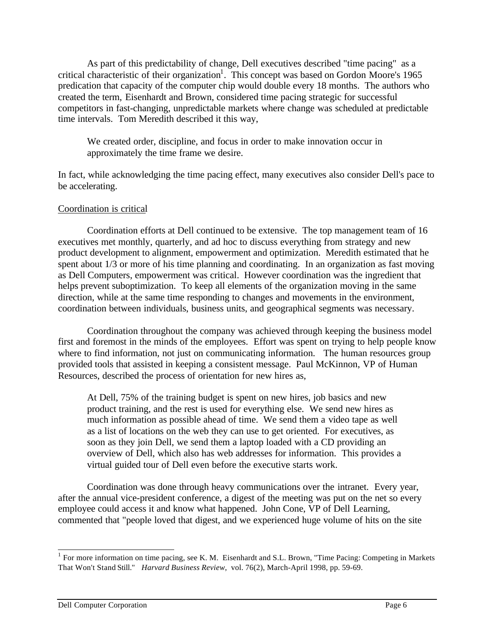As part of this predictability of change, Dell executives described "time pacing" as a critical characteristic of their organization<sup>1</sup>. This concept was based on Gordon Moore's 1965 predication that capacity of the computer chip would double every 18 months. The authors who created the term, Eisenhardt and Brown, considered time pacing strategic for successful competitors in fast-changing, unpredictable markets where change was scheduled at predictable time intervals. Tom Meredith described it this way,

We created order, discipline, and focus in order to make innovation occur in approximately the time frame we desire.

In fact, while acknowledging the time pacing effect, many executives also consider Dell's pace to be accelerating.

#### Coordination is critical

Coordination efforts at Dell continued to be extensive. The top management team of 16 executives met monthly, quarterly, and ad hoc to discuss everything from strategy and new product development to alignment, empowerment and optimization. Meredith estimated that he spent about 1/3 or more of his time planning and coordinating. In an organization as fast moving as Dell Computers, empowerment was critical. However coordination was the ingredient that helps prevent suboptimization. To keep all elements of the organization moving in the same direction, while at the same time responding to changes and movements in the environment, coordination between individuals, business units, and geographical segments was necessary.

Coordination throughout the company was achieved through keeping the business model first and foremost in the minds of the employees. Effort was spent on trying to help people know where to find information, not just on communicating information. The human resources group provided tools that assisted in keeping a consistent message. Paul McKinnon, VP of Human Resources, described the process of orientation for new hires as,

At Dell, 75% of the training budget is spent on new hires, job basics and new product training, and the rest is used for everything else. We send new hires as much information as possible ahead of time. We send them a video tape as well as a list of locations on the web they can use to get oriented. For executives, as soon as they join Dell, we send them a laptop loaded with a CD providing an overview of Dell, which also has web addresses for information. This provides a virtual guided tour of Dell even before the executive starts work.

Coordination was done through heavy communications over the intranet. Every year, after the annual vice-president conference, a digest of the meeting was put on the net so every employee could access it and know what happened. John Cone, VP of Dell Learning, commented that "people loved that digest, and we experienced huge volume of hits on the site

<sup>&</sup>lt;sup>1</sup> For more information on time pacing, see K. M. Eisenhardt and S.L. Brown, "Time Pacing: Competing in Markets That Won't Stand Still." *Harvard Business Review*, vol. 76(2), March-April 1998, pp. 59-69.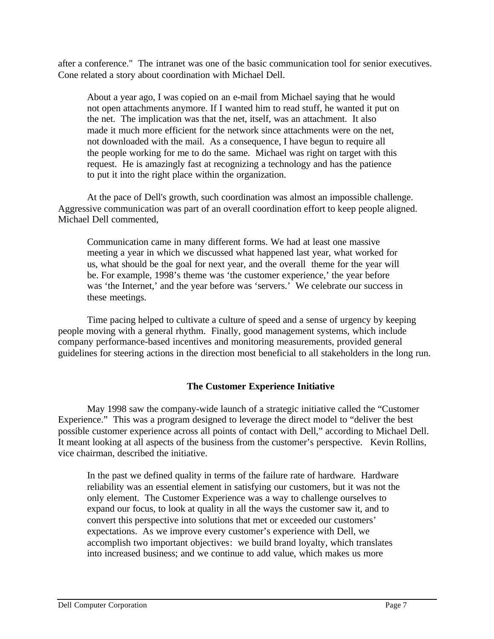after a conference." The intranet was one of the basic communication tool for senior executives. Cone related a story about coordination with Michael Dell.

About a year ago, I was copied on an e-mail from Michael saying that he would not open attachments anymore. If I wanted him to read stuff, he wanted it put on the net. The implication was that the net, itself, was an attachment. It also made it much more efficient for the network since attachments were on the net, not downloaded with the mail. As a consequence, I have begun to require all the people working for me to do the same. Michael was right on target with this request. He is amazingly fast at recognizing a technology and has the patience to put it into the right place within the organization.

At the pace of Dell's growth, such coordination was almost an impossible challenge. Aggressive communication was part of an overall coordination effort to keep people aligned. Michael Dell commented,

Communication came in many different forms. We had at least one massive meeting a year in which we discussed what happened last year, what worked for us, what should be the goal for next year, and the overall theme for the year will be. For example, 1998's theme was 'the customer experience,' the year before was 'the Internet,' and the year before was 'servers.' We celebrate our success in these meetings.

Time pacing helped to cultivate a culture of speed and a sense of urgency by keeping people moving with a general rhythm. Finally, good management systems, which include company performance-based incentives and monitoring measurements, provided general guidelines for steering actions in the direction most beneficial to all stakeholders in the long run.

#### **The Customer Experience Initiative**

May 1998 saw the company-wide launch of a strategic initiative called the "Customer Experience." This was a program designed to leverage the direct model to "deliver the best possible customer experience across all points of contact with Dell," according to Michael Dell. It meant looking at all aspects of the business from the customer's perspective. Kevin Rollins, vice chairman, described the initiative.

In the past we defined quality in terms of the failure rate of hardware. Hardware reliability was an essential element in satisfying our customers, but it was not the only element. The Customer Experience was a way to challenge ourselves to expand our focus, to look at quality in all the ways the customer saw it, and to convert this perspective into solutions that met or exceeded our customers' expectations. As we improve every customer's experience with Dell, we accomplish two important objectives: we build brand loyalty, which translates into increased business; and we continue to add value, which makes us more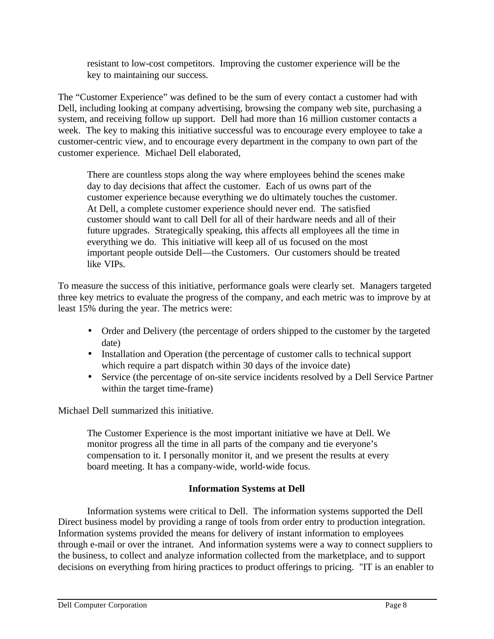resistant to low-cost competitors. Improving the customer experience will be the key to maintaining our success.

The "Customer Experience" was defined to be the sum of every contact a customer had with Dell, including looking at company advertising, browsing the company web site, purchasing a system, and receiving follow up support. Dell had more than 16 million customer contacts a week. The key to making this initiative successful was to encourage every employee to take a customer-centric view, and to encourage every department in the company to own part of the customer experience. Michael Dell elaborated,

There are countless stops along the way where employees behind the scenes make day to day decisions that affect the customer. Each of us owns part of the customer experience because everything we do ultimately touches the customer. At Dell, a complete customer experience should never end. The satisfied customer should want to call Dell for all of their hardware needs and all of their future upgrades. Strategically speaking, this affects all employees all the time in everything we do. This initiative will keep all of us focused on the most important people outside Dell—the Customers. Our customers should be treated like VIPs.

To measure the success of this initiative, performance goals were clearly set. Managers targeted three key metrics to evaluate the progress of the company, and each metric was to improve by at least 15% during the year. The metrics were:

- Order and Delivery (the percentage of orders shipped to the customer by the targeted date)
- Installation and Operation (the percentage of customer calls to technical support which require a part dispatch within 30 days of the invoice date)
- Service (the percentage of on-site service incidents resolved by a Dell Service Partner within the target time-frame)

Michael Dell summarized this initiative.

The Customer Experience is the most important initiative we have at Dell. We monitor progress all the time in all parts of the company and tie everyone's compensation to it. I personally monitor it, and we present the results at every board meeting. It has a company-wide, world-wide focus.

### **Information Systems at Dell**

Information systems were critical to Dell. The information systems supported the Dell Direct business model by providing a range of tools from order entry to production integration. Information systems provided the means for delivery of instant information to employees through e-mail or over the intranet. And information systems were a way to connect suppliers to the business, to collect and analyze information collected from the marketplace, and to support decisions on everything from hiring practices to product offerings to pricing. "IT is an enabler to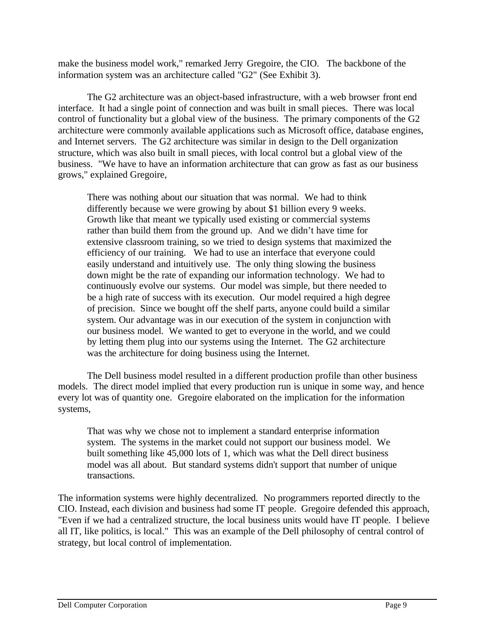make the business model work," remarked Jerry Gregoire, the CIO. The backbone of the information system was an architecture called "G2" (See Exhibit 3).

The G2 architecture was an object-based infrastructure, with a web browser front end interface. It had a single point of connection and was built in small pieces. There was local control of functionality but a global view of the business. The primary components of the G2 architecture were commonly available applications such as Microsoft office, database engines, and Internet servers. The G2 architecture was similar in design to the Dell organization structure, which was also built in small pieces, with local control but a global view of the business. "We have to have an information architecture that can grow as fast as our business grows," explained Gregoire,

There was nothing about our situation that was normal. We had to think differently because we were growing by about \$1 billion every 9 weeks. Growth like that meant we typically used existing or commercial systems rather than build them from the ground up. And we didn't have time for extensive classroom training, so we tried to design systems that maximized the efficiency of our training. We had to use an interface that everyone could easily understand and intuitively use. The only thing slowing the business down might be the rate of expanding our information technology. We had to continuously evolve our systems. Our model was simple, but there needed to be a high rate of success with its execution. Our model required a high degree of precision. Since we bought off the shelf parts, anyone could build a similar system. Our advantage was in our execution of the system in conjunction with our business model. We wanted to get to everyone in the world, and we could by letting them plug into our systems using the Internet. The G2 architecture was the architecture for doing business using the Internet.

The Dell business model resulted in a different production profile than other business models. The direct model implied that every production run is unique in some way, and hence every lot was of quantity one. Gregoire elaborated on the implication for the information systems,

That was why we chose not to implement a standard enterprise information system. The systems in the market could not support our business model. We built something like 45,000 lots of 1, which was what the Dell direct business model was all about. But standard systems didn't support that number of unique transactions.

The information systems were highly decentralized. No programmers reported directly to the CIO. Instead, each division and business had some IT people. Gregoire defended this approach, "Even if we had a centralized structure, the local business units would have IT people. I believe all IT, like politics, is local." This was an example of the Dell philosophy of central control of strategy, but local control of implementation.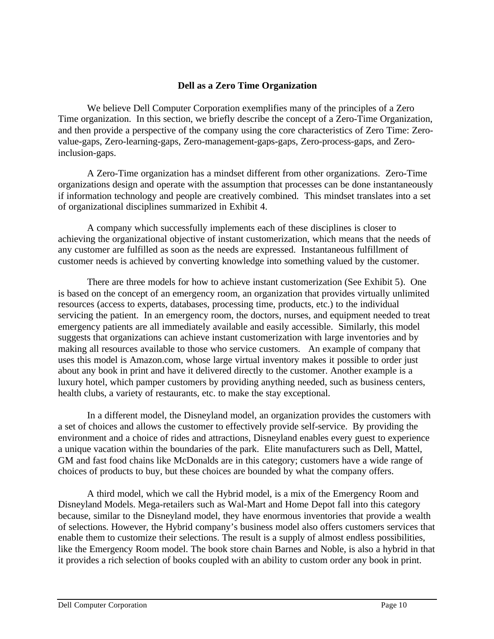#### **Dell as a Zero Time Organization**

We believe Dell Computer Corporation exemplifies many of the principles of a Zero Time organization. In this section, we briefly describe the concept of a Zero-Time Organization, and then provide a perspective of the company using the core characteristics of Zero Time: Zerovalue-gaps, Zero-learning-gaps, Zero-management-gaps-gaps, Zero-process-gaps, and Zeroinclusion-gaps.

A Zero-Time organization has a mindset different from other organizations. Zero-Time organizations design and operate with the assumption that processes can be done instantaneously if information technology and people are creatively combined. This mindset translates into a set of organizational disciplines summarized in Exhibit 4.

A company which successfully implements each of these disciplines is closer to achieving the organizational objective of instant customerization, which means that the needs of any customer are fulfilled as soon as the needs are expressed. Instantaneous fulfillment of customer needs is achieved by converting knowledge into something valued by the customer.

There are three models for how to achieve instant customerization (See Exhibit 5). One is based on the concept of an emergency room, an organization that provides virtually unlimited resources (access to experts, databases, processing time, products, etc.) to the individual servicing the patient. In an emergency room, the doctors, nurses, and equipment needed to treat emergency patients are all immediately available and easily accessible. Similarly, this model suggests that organizations can achieve instant customerization with large inventories and by making all resources available to those who service customers. An example of company that uses this model is Amazon.com, whose large virtual inventory makes it possible to order just about any book in print and have it delivered directly to the customer. Another example is a luxury hotel, which pamper customers by providing anything needed, such as business centers, health clubs, a variety of restaurants, etc. to make the stay exceptional.

In a different model, the Disneyland model, an organization provides the customers with a set of choices and allows the customer to effectively provide self-service. By providing the environment and a choice of rides and attractions, Disneyland enables every guest to experience a unique vacation within the boundaries of the park. Elite manufacturers such as Dell, Mattel, GM and fast food chains like McDonalds are in this category; customers have a wide range of choices of products to buy, but these choices are bounded by what the company offers.

A third model, which we call the Hybrid model, is a mix of the Emergency Room and Disneyland Models. Mega-retailers such as Wal-Mart and Home Depot fall into this category because, similar to the Disneyland model, they have enormous inventories that provide a wealth of selections. However, the Hybrid company's business model also offers customers services that enable them to customize their selections. The result is a supply of almost endless possibilities, like the Emergency Room model. The book store chain Barnes and Noble, is also a hybrid in that it provides a rich selection of books coupled with an ability to custom order any book in print.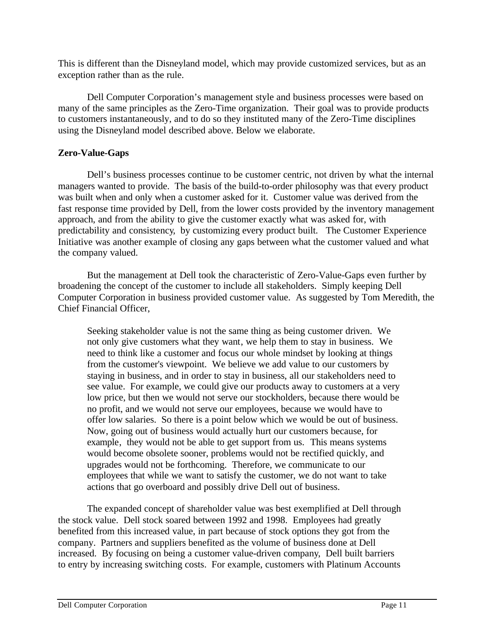This is different than the Disneyland model, which may provide customized services, but as an exception rather than as the rule.

Dell Computer Corporation's management style and business processes were based on many of the same principles as the Zero-Time organization. Their goal was to provide products to customers instantaneously, and to do so they instituted many of the Zero-Time disciplines using the Disneyland model described above. Below we elaborate.

#### **Zero-Value-Gaps**

Dell's business processes continue to be customer centric, not driven by what the internal managers wanted to provide. The basis of the build-to-order philosophy was that every product was built when and only when a customer asked for it. Customer value was derived from the fast response time provided by Dell, from the lower costs provided by the inventory management approach, and from the ability to give the customer exactly what was asked for, with predictability and consistency, by customizing every product built. The Customer Experience Initiative was another example of closing any gaps between what the customer valued and what the company valued.

But the management at Dell took the characteristic of Zero-Value-Gaps even further by broadening the concept of the customer to include all stakeholders. Simply keeping Dell Computer Corporation in business provided customer value. As suggested by Tom Meredith, the Chief Financial Officer,

Seeking stakeholder value is not the same thing as being customer driven. We not only give customers what they want, we help them to stay in business. We need to think like a customer and focus our whole mindset by looking at things from the customer's viewpoint. We believe we add value to our customers by staying in business, and in order to stay in business, all our stakeholders need to see value. For example, we could give our products away to customers at a very low price, but then we would not serve our stockholders, because there would be no profit, and we would not serve our employees, because we would have to offer low salaries. So there is a point below which we would be out of business. Now, going out of business would actually hurt our customers because, for example, they would not be able to get support from us. This means systems would become obsolete sooner, problems would not be rectified quickly, and upgrades would not be forthcoming. Therefore, we communicate to our employees that while we want to satisfy the customer, we do not want to take actions that go overboard and possibly drive Dell out of business.

The expanded concept of shareholder value was best exemplified at Dell through the stock value. Dell stock soared between 1992 and 1998. Employees had greatly benefited from this increased value, in part because of stock options they got from the company. Partners and suppliers benefited as the volume of business done at Dell increased. By focusing on being a customer value-driven company, Dell built barriers to entry by increasing switching costs. For example, customers with Platinum Accounts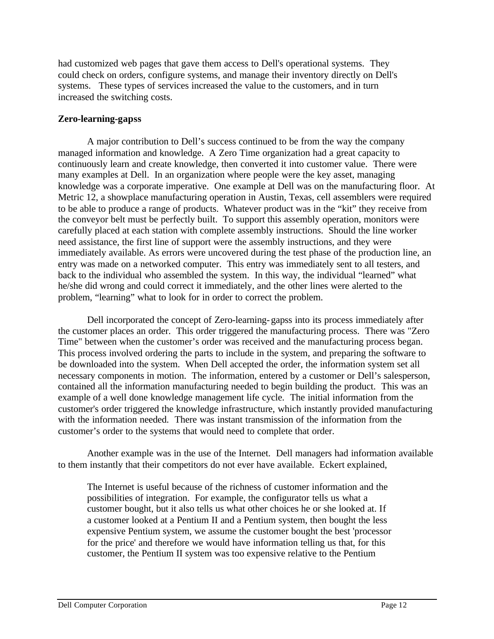had customized web pages that gave them access to Dell's operational systems. They could check on orders, configure systems, and manage their inventory directly on Dell's systems. These types of services increased the value to the customers, and in turn increased the switching costs.

#### **Zero-learning-gapss**

A major contribution to Dell's success continued to be from the way the company managed information and knowledge. A Zero Time organization had a great capacity to continuously learn and create knowledge, then converted it into customer value. There were many examples at Dell. In an organization where people were the key asset, managing knowledge was a corporate imperative. One example at Dell was on the manufacturing floor. At Metric 12, a showplace manufacturing operation in Austin, Texas, cell assemblers were required to be able to produce a range of products. Whatever product was in the "kit" they receive from the conveyor belt must be perfectly built. To support this assembly operation, monitors were carefully placed at each station with complete assembly instructions. Should the line worker need assistance, the first line of support were the assembly instructions, and they were immediately available. As errors were uncovered during the test phase of the production line, an entry was made on a networked computer. This entry was immediately sent to all testers, and back to the individual who assembled the system. In this way, the individual "learned" what he/she did wrong and could correct it immediately, and the other lines were alerted to the problem, "learning" what to look for in order to correct the problem.

Dell incorporated the concept of Zero-learning-gapss into its process immediately after the customer places an order. This order triggered the manufacturing process. There was "Zero Time" between when the customer's order was received and the manufacturing process began. This process involved ordering the parts to include in the system, and preparing the software to be downloaded into the system. When Dell accepted the order, the information system set all necessary components in motion. The information, entered by a customer or Dell's salesperson, contained all the information manufacturing needed to begin building the product. This was an example of a well done knowledge management life cycle. The initial information from the customer's order triggered the knowledge infrastructure, which instantly provided manufacturing with the information needed. There was instant transmission of the information from the customer's order to the systems that would need to complete that order.

Another example was in the use of the Internet. Dell managers had information available to them instantly that their competitors do not ever have available. Eckert explained,

The Internet is useful because of the richness of customer information and the possibilities of integration. For example, the configurator tells us what a customer bought, but it also tells us what other choices he or she looked at. If a customer looked at a Pentium II and a Pentium system, then bought the less expensive Pentium system, we assume the customer bought the best 'processor for the price' and therefore we would have information telling us that, for this customer, the Pentium II system was too expensive relative to the Pentium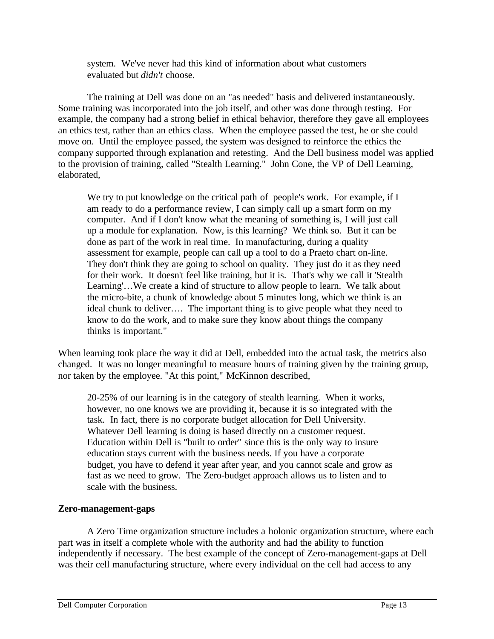system. We've never had this kind of information about what customers evaluated but *didn't* choose.

The training at Dell was done on an "as needed" basis and delivered instantaneously. Some training was incorporated into the job itself, and other was done through testing. For example, the company had a strong belief in ethical behavior, therefore they gave all employees an ethics test, rather than an ethics class. When the employee passed the test, he or she could move on. Until the employee passed, the system was designed to reinforce the ethics the company supported through explanation and retesting. And the Dell business model was applied to the provision of training, called "Stealth Learning." John Cone, the VP of Dell Learning, elaborated,

We try to put knowledge on the critical path of people's work. For example, if I am ready to do a performance review, I can simply call up a smart form on my computer. And if I don't know what the meaning of something is, I will just call up a module for explanation. Now, is this learning? We think so. But it can be done as part of the work in real time. In manufacturing, during a quality assessment for example, people can call up a tool to do a Praeto chart on-line. They don't think they are going to school on quality. They just do it as they need for their work. It doesn't feel like training, but it is. That's why we call it 'Stealth Learning'…We create a kind of structure to allow people to learn. We talk about the micro-bite, a chunk of knowledge about 5 minutes long, which we think is an ideal chunk to deliver…. The important thing is to give people what they need to know to do the work, and to make sure they know about things the company thinks is important."

When learning took place the way it did at Dell, embedded into the actual task, the metrics also changed. It was no longer meaningful to measure hours of training given by the training group, nor taken by the employee. "At this point," McKinnon described,

20-25% of our learning is in the category of stealth learning. When it works, however, no one knows we are providing it, because it is so integrated with the task. In fact, there is no corporate budget allocation for Dell University. Whatever Dell learning is doing is based directly on a customer request. Education within Dell is "built to order" since this is the only way to insure education stays current with the business needs. If you have a corporate budget, you have to defend it year after year, and you cannot scale and grow as fast as we need to grow. The Zero-budget approach allows us to listen and to scale with the business.

#### **Zero-management-gaps**

A Zero Time organization structure includes a holonic organization structure, where each part was in itself a complete whole with the authority and had the ability to function independently if necessary. The best example of the concept of Zero-management-gaps at Dell was their cell manufacturing structure, where every individual on the cell had access to any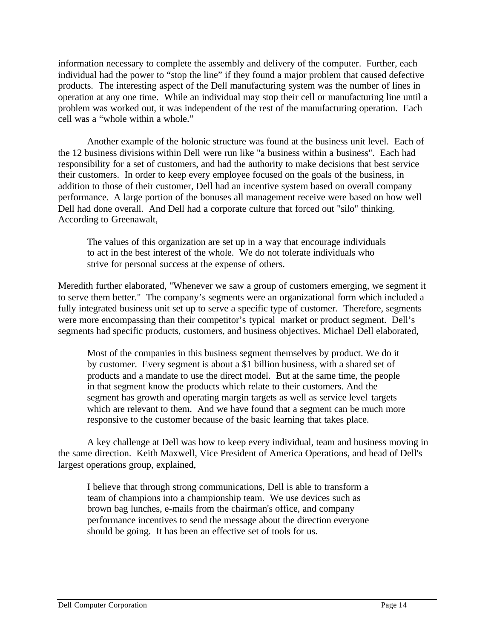information necessary to complete the assembly and delivery of the computer. Further, each individual had the power to "stop the line" if they found a major problem that caused defective products. The interesting aspect of the Dell manufacturing system was the number of lines in operation at any one time. While an individual may stop their cell or manufacturing line until a problem was worked out, it was independent of the rest of the manufacturing operation. Each cell was a "whole within a whole."

Another example of the holonic structure was found at the business unit level. Each of the 12 business divisions within Dell were run like "a business within a business". Each had responsibility for a set of customers, and had the authority to make decisions that best service their customers. In order to keep every employee focused on the goals of the business, in addition to those of their customer, Dell had an incentive system based on overall company performance. A large portion of the bonuses all management receive were based on how well Dell had done overall. And Dell had a corporate culture that forced out "silo" thinking. According to Greenawalt,

The values of this organization are set up in a way that encourage individuals to act in the best interest of the whole. We do not tolerate individuals who strive for personal success at the expense of others.

Meredith further elaborated, "Whenever we saw a group of customers emerging, we segment it to serve them better." The company's segments were an organizational form which included a fully integrated business unit set up to serve a specific type of customer. Therefore, segments were more encompassing than their competitor's typical market or product segment. Dell's segments had specific products, customers, and business objectives. Michael Dell elaborated,

Most of the companies in this business segment themselves by product. We do it by customer. Every segment is about a \$1 billion business, with a shared set of products and a mandate to use the direct model. But at the same time, the people in that segment know the products which relate to their customers. And the segment has growth and operating margin targets as well as service level targets which are relevant to them. And we have found that a segment can be much more responsive to the customer because of the basic learning that takes place.

A key challenge at Dell was how to keep every individual, team and business moving in the same direction. Keith Maxwell, Vice President of America Operations, and head of Dell's largest operations group, explained,

I believe that through strong communications, Dell is able to transform a team of champions into a championship team. We use devices such as brown bag lunches, e-mails from the chairman's office, and company performance incentives to send the message about the direction everyone should be going. It has been an effective set of tools for us.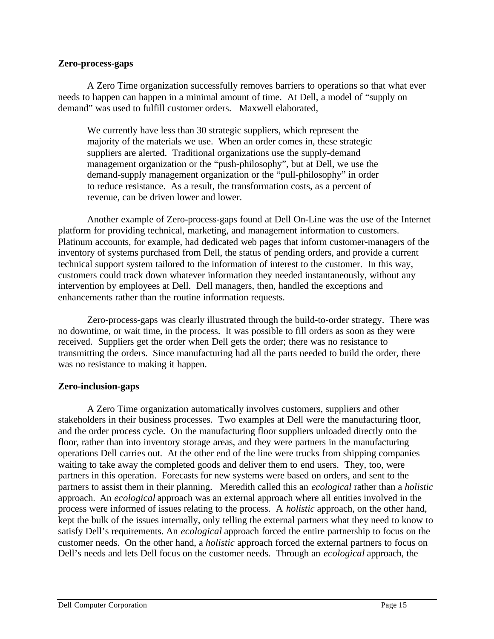#### **Zero-process-gaps**

A Zero Time organization successfully removes barriers to operations so that what ever needs to happen can happen in a minimal amount of time. At Dell, a model of "supply on demand" was used to fulfill customer orders. Maxwell elaborated,

We currently have less than 30 strategic suppliers, which represent the majority of the materials we use. When an order comes in, these strategic suppliers are alerted. Traditional organizations use the supply-demand management organization or the "push-philosophy", but at Dell, we use the demand-supply management organization or the "pull-philosophy" in order to reduce resistance. As a result, the transformation costs, as a percent of revenue, can be driven lower and lower.

Another example of Zero-process-gaps found at Dell On-Line was the use of the Internet platform for providing technical, marketing, and management information to customers. Platinum accounts, for example, had dedicated web pages that inform customer-managers of the inventory of systems purchased from Dell, the status of pending orders, and provide a current technical support system tailored to the information of interest to the customer. In this way, customers could track down whatever information they needed instantaneously, without any intervention by employees at Dell. Dell managers, then, handled the exceptions and enhancements rather than the routine information requests.

Zero-process-gaps was clearly illustrated through the build-to-order strategy. There was no downtime, or wait time, in the process. It was possible to fill orders as soon as they were received. Suppliers get the order when Dell gets the order; there was no resistance to transmitting the orders. Since manufacturing had all the parts needed to build the order, there was no resistance to making it happen.

#### **Zero-inclusion-gaps**

A Zero Time organization automatically involves customers, suppliers and other stakeholders in their business processes. Two examples at Dell were the manufacturing floor, and the order process cycle. On the manufacturing floor suppliers unloaded directly onto the floor, rather than into inventory storage areas, and they were partners in the manufacturing operations Dell carries out. At the other end of the line were trucks from shipping companies waiting to take away the completed goods and deliver them to end users. They, too, were partners in this operation. Forecasts for new systems were based on orders, and sent to the partners to assist them in their planning. Meredith called this an *ecological* rather than a *holistic* approach. An *ecological* approach was an external approach where all entities involved in the process were informed of issues relating to the process. A *holistic* approach, on the other hand, kept the bulk of the issues internally, only telling the external partners what they need to know to satisfy Dell's requirements. An *ecological* approach forced the entire partnership to focus on the customer needs. On the other hand, a *holistic* approach forced the external partners to focus on Dell's needs and lets Dell focus on the customer needs. Through an *ecological* approach, the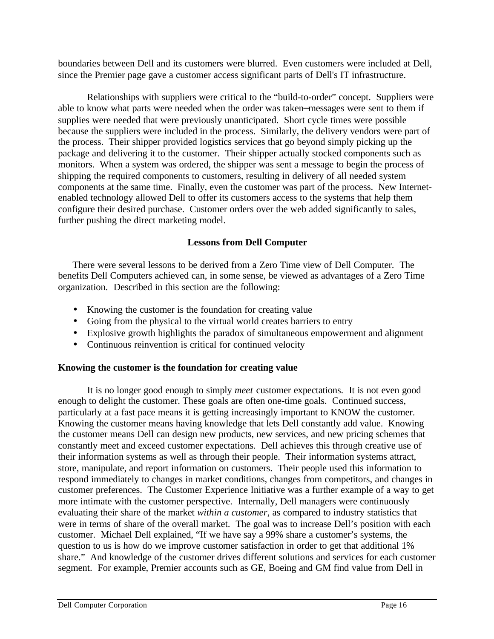boundaries between Dell and its customers were blurred. Even customers were included at Dell, since the Premier page gave a customer access significant parts of Dell's IT infrastructure.

Relationships with suppliers were critical to the "build-to-order" concept. Suppliers were able to know what parts were needed when the order was taken−messages were sent to them if supplies were needed that were previously unanticipated. Short cycle times were possible because the suppliers were included in the process. Similarly, the delivery vendors were part of the process. Their shipper provided logistics services that go beyond simply picking up the package and delivering it to the customer. Their shipper actually stocked components such as monitors. When a system was ordered, the shipper was sent a message to begin the process of shipping the required components to customers, resulting in delivery of all needed system components at the same time. Finally, even the customer was part of the process. New Internetenabled technology allowed Dell to offer its customers access to the systems that help them configure their desired purchase. Customer orders over the web added significantly to sales, further pushing the direct marketing model.

#### **Lessons from Dell Computer**

There were several lessons to be derived from a Zero Time view of Dell Computer. The benefits Dell Computers achieved can, in some sense, be viewed as advantages of a Zero Time organization. Described in this section are the following:

- Knowing the customer is the foundation for creating value
- Going from the physical to the virtual world creates barriers to entry
- Explosive growth highlights the paradox of simultaneous empowerment and alignment
- Continuous reinvention is critical for continued velocity

#### **Knowing the customer is the foundation for creating value**

It is no longer good enough to simply *meet* customer expectations. It is not even good enough to delight the customer. These goals are often one-time goals. Continued success, particularly at a fast pace means it is getting increasingly important to KNOW the customer. Knowing the customer means having knowledge that lets Dell constantly add value. Knowing the customer means Dell can design new products, new services, and new pricing schemes that constantly meet and exceed customer expectations. Dell achieves this through creative use of their information systems as well as through their people. Their information systems attract, store, manipulate, and report information on customers. Their people used this information to respond immediately to changes in market conditions, changes from competitors, and changes in customer preferences. The Customer Experience Initiative was a further example of a way to get more intimate with the customer perspective. Internally, Dell managers were continuously evaluating their share of the market *within a customer*, as compared to industry statistics that were in terms of share of the overall market. The goal was to increase Dell's position with each customer. Michael Dell explained, "If we have say a 99% share a customer's systems, the question to us is how do we improve customer satisfaction in order to get that additional 1% share." And knowledge of the customer drives different solutions and services for each customer segment. For example, Premier accounts such as GE, Boeing and GM find value from Dell in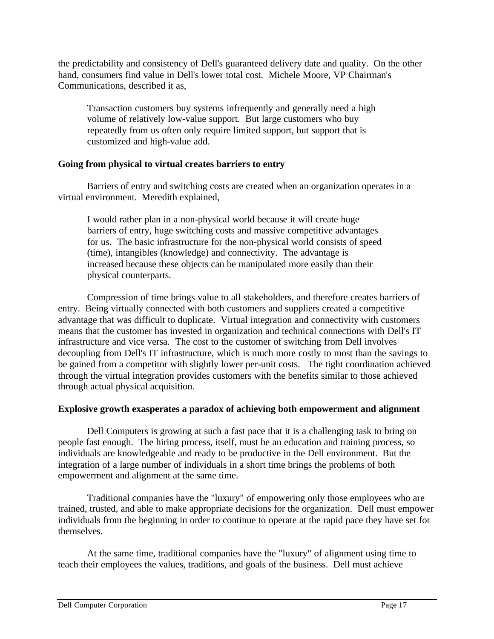the predictability and consistency of Dell's guaranteed delivery date and quality. On the other hand, consumers find value in Dell's lower total cost. Michele Moore, VP Chairman's Communications, described it as,

Transaction customers buy systems infrequently and generally need a high volume of relatively low-value support. But large customers who buy repeatedly from us often only require limited support, but support that is customized and high-value add.

#### **Going from physical to virtual creates barriers to entry**

Barriers of entry and switching costs are created when an organization operates in a virtual environment. Meredith explained,

I would rather plan in a non-physical world because it will create huge barriers of entry, huge switching costs and massive competitive advantages for us. The basic infrastructure for the non-physical world consists of speed (time), intangibles (knowledge) and connectivity. The advantage is increased because these objects can be manipulated more easily than their physical counterparts.

Compression of time brings value to all stakeholders, and therefore creates barriers of entry. Being virtually connected with both customers and suppliers created a competitive advantage that was difficult to duplicate. Virtual integration and connectivity with customers means that the customer has invested in organization and technical connections with Dell's IT infrastructure and vice versa. The cost to the customer of switching from Dell involves decoupling from Dell's IT infrastructure, which is much more costly to most than the savings to be gained from a competitor with slightly lower per-unit costs. The tight coordination achieved through the virtual integration provides customers with the benefits similar to those achieved through actual physical acquisition.

### **Explosive growth exasperates a paradox of achieving both empowerment and alignment**

Dell Computers is growing at such a fast pace that it is a challenging task to bring on people fast enough. The hiring process, itself, must be an education and training process, so individuals are knowledgeable and ready to be productive in the Dell environment. But the integration of a large number of individuals in a short time brings the problems of both empowerment and alignment at the same time.

Traditional companies have the "luxury" of empowering only those employees who are trained, trusted, and able to make appropriate decisions for the organization. Dell must empower individuals from the beginning in order to continue to operate at the rapid pace they have set for themselves.

At the same time, traditional companies have the "luxury" of alignment using time to teach their employees the values, traditions, and goals of the business. Dell must achieve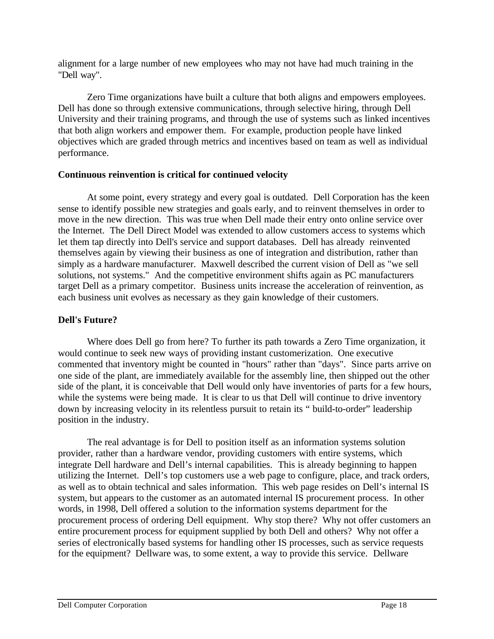alignment for a large number of new employees who may not have had much training in the "Dell way".

Zero Time organizations have built a culture that both aligns and empowers employees. Dell has done so through extensive communications, through selective hiring, through Dell University and their training programs, and through the use of systems such as linked incentives that both align workers and empower them. For example, production people have linked objectives which are graded through metrics and incentives based on team as well as individual performance.

#### **Continuous reinvention is critical for continued velocity**

At some point, every strategy and every goal is outdated. Dell Corporation has the keen sense to identify possible new strategies and goals early, and to reinvent themselves in order to move in the new direction. This was true when Dell made their entry onto online service over the Internet. The Dell Direct Model was extended to allow customers access to systems which let them tap directly into Dell's service and support databases. Dell has already reinvented themselves again by viewing their business as one of integration and distribution, rather than simply as a hardware manufacturer. Maxwell described the current vision of Dell as "we sell solutions, not systems." And the competitive environment shifts again as PC manufacturers target Dell as a primary competitor. Business units increase the acceleration of reinvention, as each business unit evolves as necessary as they gain knowledge of their customers.

#### **Dell's Future?**

Where does Dell go from here? To further its path towards a Zero Time organization, it would continue to seek new ways of providing instant customerization. One executive commented that inventory might be counted in "hours" rather than "days". Since parts arrive on one side of the plant, are immediately available for the assembly line, then shipped out the other side of the plant, it is conceivable that Dell would only have inventories of parts for a few hours, while the systems were being made. It is clear to us that Dell will continue to drive inventory down by increasing velocity in its relentless pursuit to retain its " build-to-order" leadership position in the industry.

The real advantage is for Dell to position itself as an information systems solution provider, rather than a hardware vendor, providing customers with entire systems, which integrate Dell hardware and Dell's internal capabilities. This is already beginning to happen utilizing the Internet. Dell's top customers use a web page to configure, place, and track orders, as well as to obtain technical and sales information. This web page resides on Dell's internal IS system, but appears to the customer as an automated internal IS procurement process. In other words, in 1998, Dell offered a solution to the information systems department for the procurement process of ordering Dell equipment. Why stop there? Why not offer customers an entire procurement process for equipment supplied by both Dell and others? Why not offer a series of electronically based systems for handling other IS processes, such as service requests for the equipment? Dellware was, to some extent, a way to provide this service. Dellware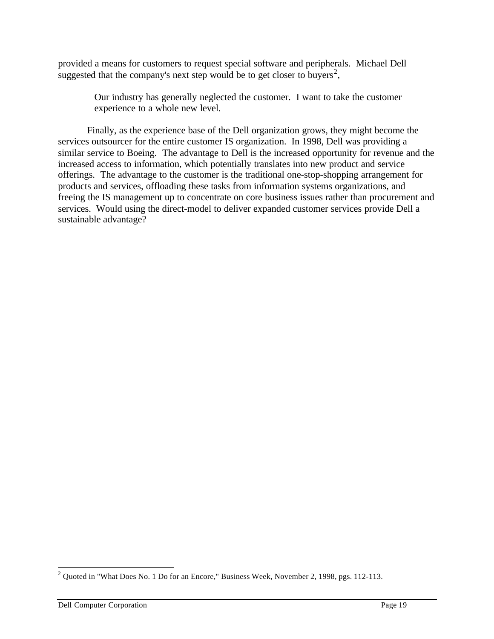provided a means for customers to request special software and peripherals. Michael Dell suggested that the company's next step would be to get closer to buyers<sup>2</sup>,

> Our industry has generally neglected the customer. I want to take the customer experience to a whole new level.

Finally, as the experience base of the Dell organization grows, they might become the services outsourcer for the entire customer IS organization. In 1998, Dell was providing a similar service to Boeing. The advantage to Dell is the increased opportunity for revenue and the increased access to information, which potentially translates into new product and service offerings. The advantage to the customer is the traditional one-stop-shopping arrangement for products and services, offloading these tasks from information systems organizations, and freeing the IS management up to concentrate on core business issues rather than procurement and services. Would using the direct-model to deliver expanded customer services provide Dell a sustainable advantage?

<sup>&</sup>lt;sup>2</sup> Quoted in "What Does No. 1 Do for an Encore," Business Week, November 2, 1998, pgs. 112-113.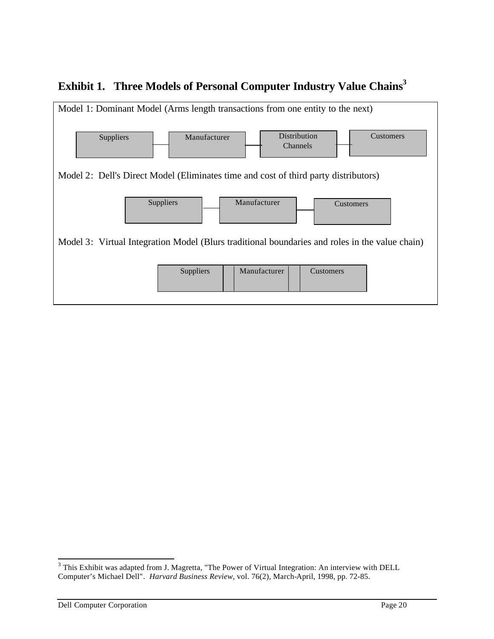



<sup>&</sup>lt;sup>3</sup> This Exhibit was adapted from J. Magretta, "The Power of Virtual Integration: An interview with DELL Computer's Michael Dell"*. Harvard Business Review*, vol. 76(2), March-April, 1998, pp. 72-85.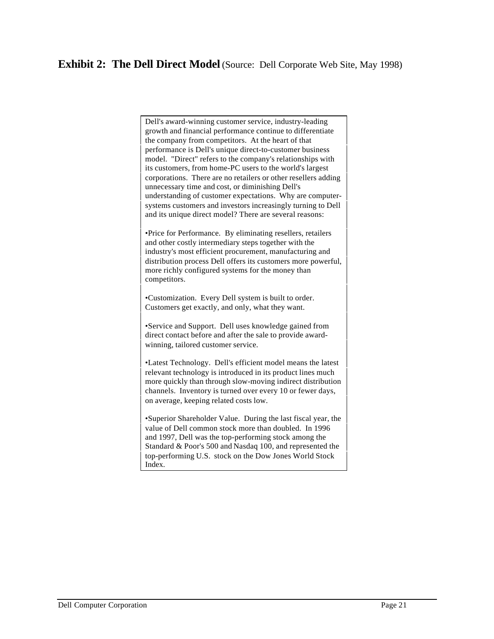### **Exhibit 2: The Dell Direct Model** (Source: Dell Corporate Web Site, May 1998)

Dell's award-winning customer service, industry-leading growth and financial performance continue to differentiate the company from competitors. At the heart of that performance is Dell's unique direct-to-customer business model. "Direct" refers to the company's relationships with its customers, from home-PC users to the world's largest corporations. There are no retailers or other resellers adding unnecessary time and cost, or diminishing Dell's understanding of customer expectations. Why are computersystems customers and investors increasingly turning to Dell and its unique direct model? There are several reasons:

•Price for Performance. By eliminating resellers, retailers and other costly intermediary steps together with the industry's most efficient procurement, manufacturing and distribution process Dell offers its customers more powerful, more richly configured systems for the money than competitors.

•Customization. Every Dell system is built to order. Customers get exactly, and only, what they want.

•Service and Support. Dell uses knowledge gained from direct contact before and after the sale to provide awardwinning, tailored customer service.

•Latest Technology. Dell's efficient model means the latest relevant technology is introduced in its product lines much more quickly than through slow-moving indirect distribution channels. Inventory is turned over every 10 or fewer days, on average, keeping related costs low.

•Superior Shareholder Value. During the last fiscal year, the value of Dell common stock more than doubled. In 1996 and 1997, Dell was the top-performing stock among the Standard & Poor's 500 and Nasdaq 100, and represented the top-performing U.S. stock on the Dow Jones World Stock Index.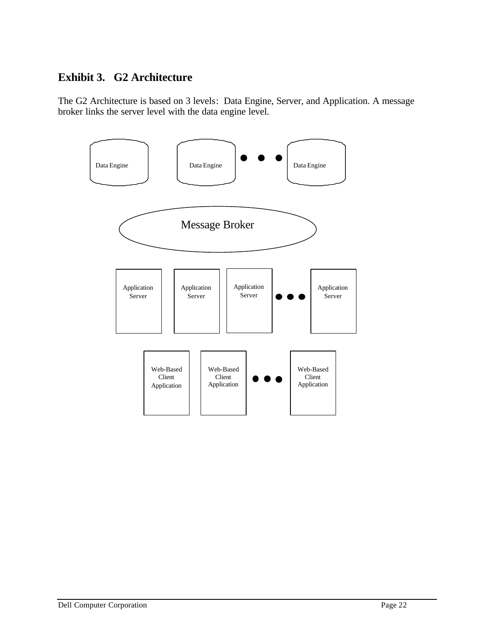## **Exhibit 3. G2 Architecture**

The G2 Architecture is based on 3 levels: Data Engine, Server, and Application. A message broker links the server level with the data engine level.